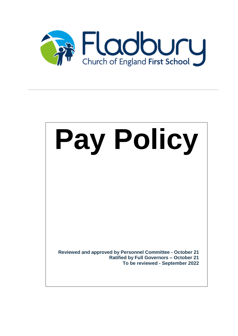

# **Pay Policy**

**Reviewed and approved by Personnel Committee - October 21 Ratified by Full Governors – October 21 To be reviewed - September 2022**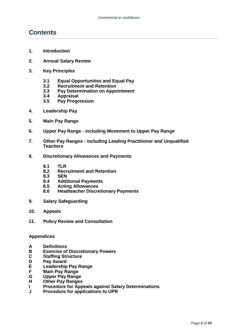# **Contents**

- **1. Introduction**
- **2. Annual Salary Review**
- **3. Key Principles**
	- **3.1 Equal Opportunities and Equal Pay**
	- **3.2 Recruitment and Retention**
	- **3.3 Pay Determination on Appointment**
	- **3.4 Appraisal**
	- **3.5 Pay Progression**
- **4. Leadership Pay**
- **5. Main Pay Range**
- **6. Upper Pay Range - including Movement to Upper Pay Range**
- **7. Other Pay Ranges - including Leading Practitioner and Unqualified Teachers**
- **8. Discretionary Allowances and Payments**
	- **8.1 TLR**
	- **8.2 Recruitment and Retention**
	- **8.3 SEN**
	- **8.4 Additional Payments**
	- **8.5 Acting Allowances**
	- **8.6 Headteacher Discretionary Payments**
- **9. Salary Safeguarding**
- **10. Appeals**
- **11. Policy Review and Consultation**

#### **Appendices**

- **A Definitions**
- **B Exercise of Discretionary Powers**
- **C Staffing Structure**
- **D Pay Award**
- **E Leadership Pay Range**
- **F Main Pay Range**
- **G Upper Pay Range**
- **Other Pay Ranges**
- **I Procedure for Appeals against Salary Determinations**
- **J Procedure for applications to UPR**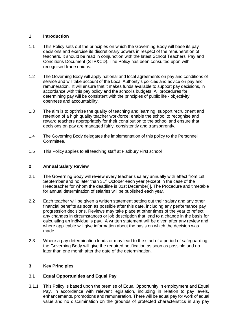#### **1 Introduction**

- 1.1 This Policy sets out the principles on which the Governing Body will base its pay decisions and exercise its discretionary powers in respect of the remuneration of teachers. It should be read in conjunction with the latest School Teachers' Pay and Conditions Document (STP&CD). The Policy has been consulted upon with recognised trade unions.
- 1.2 The Governing Body will apply national and local agreements on pay and conditions of service and will take account of the Local Authority's policies and advice on pay and remuneration. It will ensure that it makes funds available to support pay decisions, in accordance with this pay policy and the school's budgets. All procedures for determining pay will be consistent with the principles of public life - objectivity, openness and accountability.
- 1.3 The aim is to optimise the quality of teaching and learning; support recruitment and retention of a high quality teacher workforce; enable the school to recognise and reward teachers appropriately for their contribution to the school and ensure that decisions on pay are managed fairly, consistently and transparently.
- 1.4 The Governing Body delegates the implementation of this policy to the Personnel Committee.
- 1.5 This Policy applies to all teaching staff at Fladbury First school

#### **2 Annual Salary Review**

- 2.1 The Governing Body will review every teacher's salary annually with effect from 1st September and no later than 31<sup>st</sup> October each year (except in the case of the Headteacher for whom the deadline is 31st December)]. The Procedure and timetable for annual determination of salaries will be published each year.
- 2.2 Each teacher will be given a written statement setting out their salary and any other financial benefits as soon as possible after this date, including any performance pay progression decisions. Reviews may take place at other times of the year to reflect any changes in circumstances or job description that lead to a change in the basis for calculating an individual's pay. A written statement will be given after any review and where applicable will give information about the basis on which the decision was made.
- 2.3 Where a pay determination leads or may lead to the start of a period of safeguarding, the Governing Body will give the required notification as soon as possible and no later than one month after the date of the determination.

#### **3 Key Principles**

#### 3.1 **Equal Opportunities and Equal Pay**

3.1.1 This Policy is based upon the premise of Equal Opportunity in employment and Equal Pay, in accordance with relevant legislation, including in relation to pay levels, enhancements, promotions and remuneration. There will be equal pay for work of equal value and no discrimination on the grounds of protected characteristics in any pay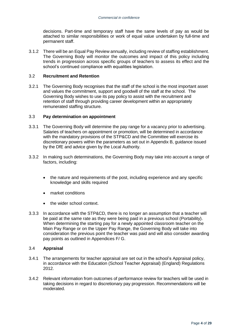decisions. Part-time and temporary staff have the same levels of pay as would be attached to similar responsibilities or work of equal value undertaken by full-time and permanent staff.

3.1.2 There will be an Equal Pay Review annually, including review of staffing establishment. The Governing Body will monitor the outcomes and impact of this policy including trends in progression across specific groups of teachers to assess its effect and the school's continued compliance with equalities legislation.

#### 3.2 **Recruitment and Retention**

3.2.1 The Governing Body recognises that the staff of the school is the most important asset and values the commitment, support and goodwill of the staff at the school. The Governing Body wishes to use its pay policy to assist with the recruitment and retention of staff through providing career development within an appropriately remunerated staffing structure.

#### 3.3 **Pay determination on appointment**

- 3.3.1 The Governing Body will determine the pay range for a vacancy prior to advertising. Salaries of teachers on appointment or promotion, will be determined in accordance with the mandatory provisions of the STP&CD and the Committee will exercise its discretionary powers within the parameters as set out in Appendix B, guidance issued by the DfE and advice given by the Local Authority.
- 3.3.2 In making such determinations, the Governing Body may take into account a range of factors, including:
	- the nature and requirements of the post, including experience and any specific knowledge and skills required
	- market conditions
	- the wider school context.
- 3.3.3 In accordance with the STP&CD, there is no longer an assumption that a teacher will be paid at the same rate as they were being paid in a previous school (Portability). When determining the starting pay for a newly appointed classroom teacher on the Main Pay Range or on the Upper Pay Range, the Governing Body will take into consideration the previous point the teacher was paid and will also consider awarding pay points as outlined in Appendices F/ G.

#### 3.4 **Appraisal**

- 3.4.1 The arrangements for teacher appraisal are set out in the school's Appraisal policy, in accordance with the Education (School Teacher Appraisal) (England) Regulations 2012.
- 3.4.2 Relevant information from outcomes of performance review for teachers will be used in taking decisions in regard to discretionary pay progression. Recommendations will be moderated.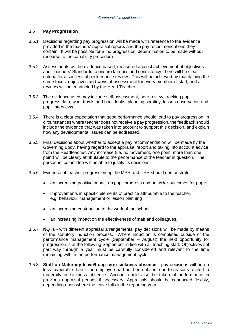#### 3.5 **Pay Progression**

- 3.5.1 Decisions regarding pay progression will be made with reference to the evidence provided in the teachers' appraisal reports and the pay recommendations they contain. It will be possible for a 'no progression' determination to be made without recourse to the capability procedure.
- 3.5.2 Assessments will be evidence based, measured against achievement of objectives and Teachers' Standards to ensure fairness and consistency; there will be clear criteria for a successful performance review.This will be achieved by maintaining the same focus, objectives and ways of assessment for every member of staff; and all reviews will be conducted by the Head Teacher.
- 3.5.3 The evidence used may include self-assessment, peer review, tracking pupil progress data, work trawls and book looks, planning scrutiny, lesson observation and pupil interviews.
- 3.5.4 There is a clear expectation that good performance should lead to pay progression, in circumstances where teacher does not receive a pay progression, the feedback should include the evidence that was taken into account to support this decision, and explain how any developmental issues can be addressed.
- 3.5.5 Final decisions about whether to accept a pay recommendation will be made by the Governing Body, having regard to the appraisal report and taking into account advice from the Headteacher. Any increase (i.e. no movement, one point, more than one point) will be clearly attributable to the performance of the teacher in question. The personnel committee will be able to justify its decisions.
- 3.5.6 Evidence of teacher progression up the MPR and UPR should demonstrate:
	- an increasing positive impact on pupil progress and on wider outcomes for pupils
	- improvements in specific elements of practice attributable to the teacher, e.g. behaviour management or lesson planning
	- an increasing contribution to the work of the school
	- an increasing impact on the effectiveness of staff and colleagues.
- 3.5.7 **NQTs**  with different appraisal arrangements, pay decisions will be made by means of the statutory induction process. Where induction is completed outside of the performance management cycle (September – August) the next opportunity for progression is at the following September in line with all teaching staff. Objectives set part way through a year must be carefully considered and relevant to the time remaining with in the performance management cycle.
- 3.5.8 **Staff on Maternity leave/Long-term sickness absence** pay decisions will be no less favourable than if the employee had not been absent due to reasons related to maternity or sickness absence. Account could also be taken of performance in previous appraisal periods if necessary. Appraisals should be conducted flexibly, depending upon where the leave falls in the reporting year.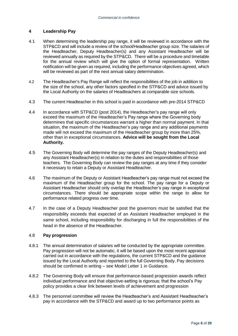#### **4 Leadership Pay**

- 4.1 When determining the leadership pay range, it will be reviewed in accordance with the STP&CD and will include a review of the school/Headteacher group size. The salaries of the Headteacher, Deputy Headteacher(s) and any Assistant Headteacher will be reviewed annually as required by the STP&CD. There will be a procedure and timetable for the annual review which will give the option of formal representation. Written notification will be given as required, including the performance objectives agreed, which will be reviewed as part of the next annual salary determination.
- 4.2 The Headteacher's Pay Range will reflect the responsibilities of the job in addition to the size of the school, any other factors specified in the STP&CD and advice issued by the Local Authority on the salaries of Headteachers at comparable size schools.
- 4.3 The current Headteacher in this school is paid in accordance with pre-2014 STP&CD
- 4.4 In accordance with STP&CD (post 2014), the Headteacher's pay range will only exceed the maximum of the Headteacher's Pay range where the Governing body determines that specific circumstances warrant a higher than normal payment. In that situation, the maximum of the Headteacher's pay range and any additional payments made will not exceed the maximum of the Headteacher group by more than 25%, other than in exceptional circumstances. **Advice will be sought from the Local Authority.**
- 4.5 The Governing Body will determine the pay ranges of the Deputy Headteacher(s) and any Assistant Headteacher(s) in relation to the duties and responsibilities of those teachers. The Governing Body can review the pay ranges at any time if they consider it necessary to retain a Deputy or Assistant Headteacher.
- 4.6 The maximum of the Deputy or Assistant Headteacher's pay range must not exceed the maximum of the Headteacher group for the school. The pay range for a Deputy or Assistant Headteacher should only overlap the Headteacher's pay range in exceptional circumstances. There should be appropriate scope within the range to allow for performance related progress over time.
- 4.7 In the case of a Deputy Headteacher post the governors must be satisfied that the responsibility exceeds that expected of an Assistant Headteacher employed in the same school, including responsibility for discharging in full the responsibilities of the head in the absence of the Headteacher.

#### 4.8 **Pay progression**

- 4.8.1 The annual determination of salaries will be conducted by the appropriate committee. Pay progression will not be automatic, it will be based upon the most recent appraisal carried out in accordance with the regulations, the current STP&CD and the guidance issued by the Local Authority and reported to the full Governing Body. Pay decisions should be confirmed in writing – see Model Letter 1 in Guidance.
- 4.8.2 The Governing Body will ensure that performance-based progression awards reflect individual performance and that objective-setting is rigorous; that the school's Pay policy provides a clear link between levels of achievement and progression
- 4.8.3 The personnel committee will review the Headteacher's and Assistant Headteacher's pay in accordance with the STP&CD and award up to two performance points as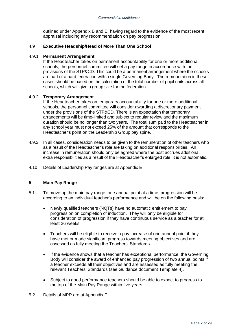outlined under Appendix B and E, having regard to the evidence of the most recent appraisal including any recommendation on pay progression.

#### 4.9 **Executive Headship/Head of More Than One School**

#### 4.9.1 **Permanent Arrangement**

If the Headteacher takes on permanent accountability for one or more additional schools, the personnel committee will set a pay range in accordance with the provisions of the STP&CD. This could be a permanent arrangement where the schools are part of a hard federation with a single Governing Body. The remuneration in these cases should be based on the calculation of the total number of pupil units across all schools, which will give a group size for the federation.

#### 4.9.2 **Temporary Arrangement**

If the Headteacher takes on temporary accountability for one or more additional schools, the personnel committee will consider awarding a discretionary payment under the provisions of the STP&CD. There is an expectation that temporary arrangements will be time-limited and subject to regular review and the maximum duration should be no longer than two years. The total sum paid to the Headteacher in any school year must not exceed 25% of the amount that corresponds to the Headteacher's point on the Leadership Group pay spine.

- 4.9.3 In all cases, consideration needs to be given to the remuneration of other teachers who as a result of the Headteacher's role are taking on additional responsibilities. An increase in remuneration should only be agreed where the post accrues additional extra responsibilities as a result of the Headteacher's enlarged role, it is not automatic.
- 4.10 Details of Leadership Pay ranges are at Appendix E

#### **5 Main Pay Range**

- 5.1 To move up the main pay range, one annual point at a time, progression will be according to an individual teacher's performance and will be on the following basis:
	- Newly qualified teachers (NQTs) have no automatic entitlement to pay progression on completion of induction. They will only be eligible for consideration of progression if they have continuous service as a teacher for at least 26 weeks.
	- Teachers will be eligible to receive a pay increase of one annual point if they have met or made significant progress towards meeting objectives and are assessed as fully meeting the Teachers' Standards.
	- If the evidence shows that a teacher has exceptional performance, the Governing Body will consider the award of enhanced pay progression of two annual points if a teacher exceeds all their objectives and are assessed as fully meeting the relevant Teachers' Standards (see Guidance document Template 4).
	- Subject to good performance teachers should be able to expect to progress to the top of the Main Pay Range within five years.
- 5.2 Details of MPR are at Appendix F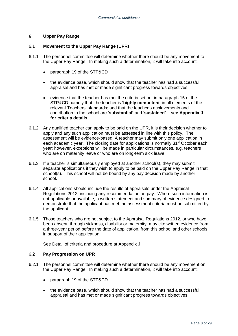#### **6 Upper Pay Range**

#### 6.1 **Movement to the Upper Pay Range (UPR)**

- 6.1.1 The personnel committee will determine whether there should be any movement to the Upper Pay Range. In making such a determination, it will take into account:
	- paragraph 19 of the STP&CD
	- the evidence base, which should show that the teacher has had a successful appraisal and has met or made significant progress towards objectives
	- evidence that the teacher has met the criteria set out in paragraph 15 of the STP&CD namely that: the teacher is '**highly competent**' in all elements of the relevant Teachers' standards; and that the teacher's achievements and contribution to the school are '**substantial'** and '**sustained' – see Appendix J for criteria details.**
- 6.1.2 Any qualified teacher can apply to be paid on the UPR, it is their decision whether to apply and any such application must be assessed in line with this policy. The assessment will be evidence-based. A teacher may submit only one application in each academic year. The closing date for applications is normally 31<sup>st</sup> October each year; however, exceptions will be made in particular circumstances, e.g. teachers who are on maternity leave or who are on long-term sick leave.
- 6.1.3 If a teacher is simultaneously employed at another school(s), they may submit separate applications if they wish to apply to be paid on the Upper Pay Range in that school(s). This school will not be bound by any pay decision made by another school.
- 6.1.4 All applications should include the results of appraisals under the Appraisal Regulations 2012, including any recommendation on pay. Where such information is not applicable or available, a written statement and summary of evidence designed to demonstrate that the applicant has met the assessment criteria must be submitted by the applicant.
- 6.1.5 Those teachers who are not subject to the Appraisal Regulations 2012, or who have been absent, through sickness, disability or maternity, may cite written evidence from a three-year period before the date of application, from this school and other schools, in support of their application.

See Detail of criteria and procedure at Appendix J

#### 6.2 **Pay Progression on UPR**

- 6.2.1 The personnel committee will determine whether there should be any movement on the Upper Pay Range. In making such a determination, it will take into account:
	- paragraph 19 of the STP&CD
	- the evidence base, which should show that the teacher has had a successful appraisal and has met or made significant progress towards objectives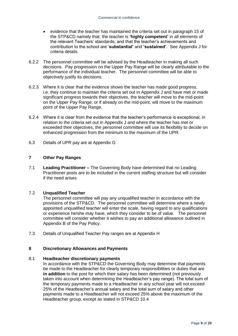- evidence that the teacher has maintained the criteria set out in paragraph 15 of the STP&CD namely that: the teacher is **'highly competent'** in all elements of the relevant Teachers' standards; and that the teacher's achievements and contribution to the school are '**substantial'** and **'sustained'**. See Appendix J for criteria details
- 6.2.2 The personnel committee will be advised by the Headteacher in making all such decisions. Pay progression on the Upper Pay Range will be clearly attributable to the performance of the individual teacher. The personnel committee will be able to objectively justify its decisions.
- 6.2.3 Where it is clear that the evidence shows the teacher has made good progress, i.e. they continue to maintain the criteria set out in Appendix J and have met or made significant progress towards their objectives, the teacher will move to the mid-point on the Upper Pay Range; or if already on the mid-point, will move to the maximum point of the Upper Pay Range.
- 6.2.4 Where it is clear from the evidence that the teacher's performance is exceptional, in relation to the criteria set out in Appendix J and where the teacher has met or exceeded their objectives, the personnel committee will use its flexibility to decide on enhanced progression from the minimum to the maximum of the UPR.
- 6.3 Details of UPR pay are at Appendix G

#### **7 Other Pay Ranges**

7.1 **Leading Practitioner –** The Governing Body have determined that no Leading Practitioner posts are to be included in the current staffing structure but will consider if the need arises

#### 7.2 **Unqualified Teacher**

The personnel committee will pay any unqualified teacher in accordance with the provisions of the STP&CD. The personnel committee will determine where a newly appointed unqualified teacher will enter the scale, having regard to any qualifications or experience he/she may have, which they consider to be of value. The personnel committee will consider whether it wishes to pay an additional allowance outlined in Appendix B of the Pay Policy.

7.3 Details of Unqualified Teacher Pay ranges are at Appendix H

#### **8 Discretionary Allowances and Payments**

#### 8.1 **Headteacher discretionary payments**

In accordance with the STP&CD the Governing Body may determine that payments be made to the Headteacher for clearly temporary responsibilities or duties that are **in addition** to the post for which their salary has been determined (not previously taken into account when determining the Headteacher's pay range). The total sum of the temporary payments made to a Headteacher in any school year will not exceed 25% of the Headteacher's annual salary and the total sum of salary and other payments made to a Headteacher will not exceed 25% above the maximum of the Headteacher group, except as stated in STP&CD 10.4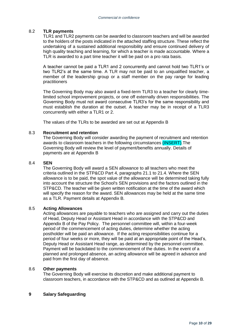#### 8.2 **TLR payments**

TLR1 and TLR2 payments can be awarded to classroom teachers and will be awarded to the holders of the posts indicated in the attached staffing structure. These reflect the undertaking of a sustained additional responsibility and ensure continued delivery of high quality teaching and learning, for which a teacher is made accountable. Where a TLR is awarded to a part time teacher it will be paid on a pro rata basis.

A teacher cannot be paid a TLR1 and 2 concurrently and cannot hold two TLR1's or two TLR2's at the same time. A TLR may not be paid to an unqualified teacher, a member of the leadership group or a staff member on the pay range for leading practitioners

The Governing Body may also award a fixed-term TLR3 to a teacher for clearly timelimited school improvement projects, or one off externally driven responsibilities. The Governing Body must not award consecutive TLR3's for the same responsibility and must establish the duration at the outset. A teacher may be in receipt of a TLR3 concurrently with either a TLR1 or 2.

The values of the TLRs to be awarded are set out at Appendix B

#### 8.3 **Recruitment and retention**

The Governing Body will consider awarding the payment of recruitment and retention awards to classroom teachers in the following circumstances (INSERT).The Governing Body will review the level of payment/benefits annually. Details of payments are at Appendix B

#### 8.4 **SEN**

The Governing Body will award a SEN allowance to all teachers who meet the criteria outlined in the STP&CD Part 4, paragraphs 21.1 to 21.4. Where the SEN allowance is to be paid, the spot value of the allowance will be determined taking fully into account the structure the School's SEN provisions and the factors outlined in the STP&CD. The teacher will be given written notification at the time of the award which will specify the reason for the award. SEN allowances may be held at the same time as a TLR. Payment details at Appendix B.

#### 8.5 **Acting Allowances**

Acting allowances are payable to teachers who are assigned and carry out the duties of Head, Deputy Head or Assistant Head in accordance with the STP&CD and Appendix B of the Pay Policy. The personnel committee will, within a four-week period of the commencement of acting duties, determine whether the acting postholder will be paid an allowance. If the acting responsibilities continue for a period of four weeks or more, they will be paid at an appropriate point of the Head's, Deputy Head or Assistant Head range, as determined by the personnel committee. Payment will be backdated to the commencement of the duties. In the event of a planned and prolonged absence, an acting allowance will be agreed in advance and paid from the first day of absence.

#### 8.6 **Other payments**

The Governing Body will exercise its discretion and make additional payment to classroom teachers, in accordance with the STP&CD and as outlined at Appendix B.

#### **9 Salary Safeguarding**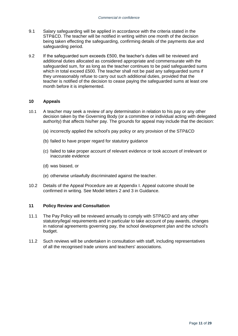- 9.1 Salary safeguarding will be applied in accordance with the criteria stated in the STP&CD. The teacher will be notified in writing within one month of the decision being taken effecting the safeguarding, confirming details of the payments due and safeguarding period.
- 9.2 If the safeguarded sum exceeds £500, the teacher's duties will be reviewed and additional duties allocated as considered appropriate and commensurate with the safeguarded sum, for as long as the teacher continues to be paid safeguarded sums which in total exceed £500. The teacher shall not be paid any safeguarded sums if they unreasonably refuse to carry out such additional duties, provided that the teacher is notified of the decision to cease paying the safeguarded sums at least one month before it is implemented.

#### **10 Appeals**

- 10.1 A teacher may seek a review of any determination in relation to his pay or any other decision taken by the Governing Body (or a committee or individual acting with delegated authority) that affects his/her pay. The grounds for appeal may include that the decision:
	- (a) incorrectly applied the school's pay policy or any provision of the STP&CD
	- (b) failed to have proper regard for statutory guidance
	- (c) failed to take proper account of relevant evidence or took account of irrelevant or inaccurate evidence
	- (d) was biased, or
	- (e) otherwise unlawfully discriminated against the teacher.
- 10.2 Details of the Appeal Procedure are at Appendix I. Appeal outcome should be confirmed in writing. See Model letters 2 and 3 in Guidance.

#### **11 Policy Review and Consultation**

- 11.1 The Pay Policy will be reviewed annually to comply with STP&CD and any other statutory/legal requirements and in particular to take account of pay awards, changes in national agreements governing pay, the school development plan and the school's budget.
- 11.2 Such reviews will be undertaken in consultation with staff, including representatives of all the recognised trade unions and teachers' associations.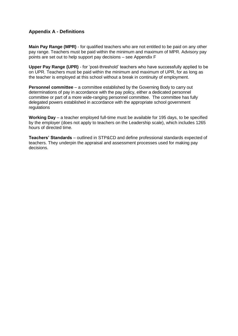## **Appendix A - Definitions**

**Main Pay Range (MPR)** - for qualified teachers who are not entitled to be paid on any other pay range. Teachers must be paid within the minimum and maximum of MPR. Advisory pay points are set out to help support pay decisions – see Appendix F

**Upper Pay Range (UPR)** - for 'post-threshold' teachers who have successfully applied to be on UPR. Teachers must be paid within the minimum and maximum of UPR, for as long as the teacher is employed at this school without a break in continuity of employment.

**Personnel committee** – a committee established by the Governing Body to carry out determinations of pay in accordance with the pay policy, either a dedicated personnel committee or part of a more wide-ranging personnel committee. The committee has fully delegated powers established in accordance with the appropriate school government regulations

**Working Day** – a teacher employed full-time must be available for 195 days, to be specified by the employer (does not apply to teachers on the Leadership scale), which includes 1265 hours of directed time.

**Teachers' Standards** – outlined in STP&CD and define professional standards expected of teachers. They underpin the appraisal and assessment processes used for making pay decisions.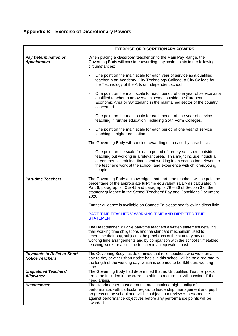# **Appendix B – Exercise of Discretionary Powers**

|                                                              | <b>EXERCISE OF DISCRETIONARY POWERS</b>                                                                                                                                                                                                                                                                                                                                |
|--------------------------------------------------------------|------------------------------------------------------------------------------------------------------------------------------------------------------------------------------------------------------------------------------------------------------------------------------------------------------------------------------------------------------------------------|
| <b>Pay Determination on</b><br><b>Appointment</b>            | When placing a classroom teacher on to the Main Pay Range, the<br>Governing Body will consider awarding pay scale points in the following<br>circumstances:                                                                                                                                                                                                            |
|                                                              | One point on the main scale for each year of service as a qualified<br>teacher in an Academy, City Technology College, a City College for<br>the Technology of the Arts or independent school.                                                                                                                                                                         |
|                                                              | One point on the main scale for each period of one year of service as a<br>$\overline{\phantom{a}}$<br>qualified teacher in an overseas school outside the European<br>Economic Area or Switzerland in the maintained sector of the country<br>concerned.                                                                                                              |
|                                                              | One point on the main scale for each period of one year of service<br>teaching in further education, including Sixth Form Colleges.                                                                                                                                                                                                                                    |
|                                                              | One point on the main scale for each period of one year of service<br>teaching in higher education.                                                                                                                                                                                                                                                                    |
|                                                              | The Governing Body will consider awarding on a case-by-case basis:                                                                                                                                                                                                                                                                                                     |
|                                                              | One point on the scale for each period of three years spent outside<br>teaching but working in a relevant area. This might include industrial<br>or commercial training, time spent working in an occupation relevant to<br>the teacher's work at the school, and experience with children/young<br>people.                                                            |
| <b>Part-time Teachers</b>                                    | The Governing Body acknowledges that part-time teachers will be paid the<br>percentage of the appropriate full-time equivalent salary as calculated in<br>Part 6, paragraphs 40 & 41 and paragraphs 79 - 86 of Section 3 of the<br>statutory guidance in the School Teachers' Pay and Conditions Document<br>2020.                                                     |
|                                                              | Further guidance is available on ConnectEd please see following direct link:                                                                                                                                                                                                                                                                                           |
|                                                              | PART-TIME TEACHERS' WORKING TIME AND DIRECTED TIME<br><b>STATEMENT</b>                                                                                                                                                                                                                                                                                                 |
|                                                              | The Headteacher will give part-time teachers a written statement detailing<br>their working time obligations and the standard mechanism used to<br>determine their pay, subject to the provisions of the statutory pay and<br>working time arrangements and by comparison with the school's timetabled<br>teaching week for a full-time teacher in an equivalent post. |
| <b>Payments to Relief or Short</b><br><b>Notice Teachers</b> | The Governing Body has determined that relief teachers who work on a<br>day-to-day or other short notice basis in this school will be paid pro rata to<br>the length of the working day, which is deemed to be 6.5 hours working<br>time.                                                                                                                              |
| <b>Unqualified Teachers'</b><br><b>Allowance</b>             | The Governing Body had determined that no Unqualified Teacher posts<br>are to be included in the current staffing structure but will consider if the<br>need arises.                                                                                                                                                                                                   |
| <b>Headteacher</b>                                           | The Headteacher must demonstrate sustained high quality of<br>performance, with particular regard to leadership, management and pupil<br>progress at the school and will be subject to a review of performance<br>against performance objectives before any performance points will be<br>awarded.                                                                     |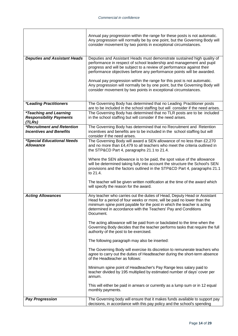|                                                                                  | Annual pay progression within the range for these posts is not automatic.<br>Any progression will normally be by one point, but the Governing Body will<br>consider movement by two points in exceptional circumstances.                                                                                      |
|----------------------------------------------------------------------------------|---------------------------------------------------------------------------------------------------------------------------------------------------------------------------------------------------------------------------------------------------------------------------------------------------------------|
| <b>Deputies and Assistant Heads</b>                                              | Deputies and Assistant Heads must demonstrate sustained high quality of<br>performance in respect of school leadership and management and pupil<br>progress and will be subject to a review of performance against their<br>performance objectives before any performance points will be awarded.             |
|                                                                                  | Annual pay progression within the range for this post is not automatic.<br>Any progression will normally be by one point, but the Governing Body will<br>consider movement by two points in exceptional circumstances.                                                                                        |
| <i><b>*Leading Practitioners</b></i>                                             | The Governing Body has determined that no Leading Practitioner posts<br>are to be included in the school staffing but will consider if the need arises.                                                                                                                                                       |
| <i><b>*Teaching and Learning</b></i><br><b>Responsibility Payments</b><br>(TLRs) | The Governing Body has determined that no TLR posts are to be included<br>in the school staffing but will consider if the need arises.                                                                                                                                                                        |
| <b>*Recruitment and Retention</b><br><b>Incentives and Benefits</b>              | The Governing Body has determined that no Recruitment and Retention<br>incentives and benefits are to be included in the school staffing but will<br>consider if the need arises.                                                                                                                             |
| <i>*Special Educational Needs</i><br><b>Allowance</b>                            | The Governing Body will award a SEN allowance of no less than £2,270<br>and no more than £4,479 to all teachers who meet the criteria outlined in<br>the STP&CD Part 4, paragraphs 21.1 to 21.4.                                                                                                              |
|                                                                                  | Where the SEN allowance is to be paid, the spot value of the allowance<br>will be determined taking fully into account the structure the School's SEN<br>provisions and the factors outlined in the STP&CD Part 4, paragraphs 21.1<br>to 21.4.                                                                |
|                                                                                  | The teacher will be given written notification at the time of the award which<br>will specify the reason for the award.                                                                                                                                                                                       |
| <b>Acting Allowances</b>                                                         | Any teacher who carries out the duties of Head, Deputy Head or Assistant<br>Head for a period of four weeks or more, will be paid no lower than the<br>minimum spine point payable for the post in which the teacher is acting<br>determined in accordance with the Teachers' Pay and Conditions<br>Document. |
|                                                                                  | The acting allowance will be paid from or backdated to the time when the<br>Governing Body decides that the teacher performs tasks that require the full<br>authority of the post to be exercised.                                                                                                            |
|                                                                                  | The following paragraph may also be inserted:                                                                                                                                                                                                                                                                 |
|                                                                                  | The Governing Body will exercise its discretion to remunerate teachers who<br>agree to carry out the duties of Headteacher during the short-term absence<br>of the Headteacher as follows:                                                                                                                    |
|                                                                                  | Minimum spine point of Headteacher's Pay Range less salary paid to<br>teacher divided by 195 multiplied by estimated number of days' cover per<br>annum.                                                                                                                                                      |
|                                                                                  | This will either be paid in arrears or currently as a lump sum or in 12 equal<br>monthly payments.                                                                                                                                                                                                            |
| <b>Pay Progression</b>                                                           | The Governing body will ensure that it makes funds available to support pay<br>decisions, in accordance with this pay policy and the school's spending                                                                                                                                                        |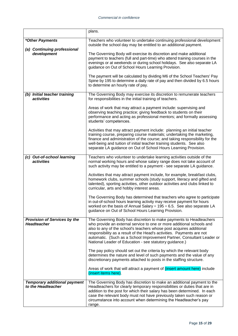|                                                           | plans.                                                                                                                                                                                                                                                                                                                                                                                                                           |
|-----------------------------------------------------------|----------------------------------------------------------------------------------------------------------------------------------------------------------------------------------------------------------------------------------------------------------------------------------------------------------------------------------------------------------------------------------------------------------------------------------|
| *Other Payments                                           | Teachers who volunteer to undertake continuing professional development                                                                                                                                                                                                                                                                                                                                                          |
| (a) Continuing professional                               | outside the school day may be entitled to an additional payment.                                                                                                                                                                                                                                                                                                                                                                 |
| development                                               | The Governing Body will exercise its discretion and make additional<br>payment to teachers (full and part-time) who attend training courses in the<br>evenings or at weekends or during school holidays. See also separate LA<br>guidance on Out of School Hours Learning Provision.                                                                                                                                             |
|                                                           | The payment will be calculated by dividing M6 of the School Teachers' Pay<br>Spine by 195 to determine a daily rate of pay and then divided by 6.5 hours<br>to determine an hourly rate of pay.                                                                                                                                                                                                                                  |
| (b) Initial teacher training<br>activities                | The Governing Body may exercise its discretion to remunerate teachers<br>for responsibilities in the initial training of teachers.                                                                                                                                                                                                                                                                                               |
|                                                           | Areas of work that may attract a payment include: supervising and<br>observing teaching practice; giving feedback to students on their<br>performance and acting as professional mentors; and formally assessing<br>students' competences.                                                                                                                                                                                       |
|                                                           | Activities that may attract payment include: planning an initial teacher<br>training course, preparing course materials; undertaking the marketing,<br>finance and administration of the course; and taking responsibility for the<br>well-being and tuition of initial teacher training students. See also<br>separate LA guidance on Out of School Hours Learning Provision.                                                   |
| (c) Out-of-school learning<br>activities                  | Teachers who volunteer to undertake learning activities outside of the<br>normal working hours and whose salary range does not take account of<br>such activity may be entitled to a payment - see separate LA guidance.                                                                                                                                                                                                         |
|                                                           | Activities that may attract payment include, for example, breakfast clubs,<br>homework clubs, summer schools (study support, literacy and gifted and<br>talented), sporting activities, other outdoor activities and clubs linked to<br>curricular, arts and hobby interest areas.                                                                                                                                               |
|                                                           | The Governing Body has determined that teachers who agree to participate<br>in out-of-school hours learning activity may receive payment for hours<br>worked on the basis of Annual Salary $\div$ 195 $\div$ 6.5. See also separate LA<br>guidance on Out of School Hours Learning Provision.                                                                                                                                    |
| <b>Provision of Services by the</b><br><b>Headteacher</b> | The Governing Body has discretion to make payments to Headteachers<br>who provide an external service to one or more additional schools and<br>also to any of the school's teachers whose post acquires additional<br>responsibility as a result of the Head's activities. Payments are not<br>automatic. (Such as a School Improvement Partner, Consultant Leader or<br>National Leader of Education - see statutory guidance.) |
|                                                           | The pay policy should set out the criteria by which the relevant body<br>determines the nature and level of such payments and the value of any<br>discretionary payments attached to posts in the staffing structure.                                                                                                                                                                                                            |
|                                                           | Areas of work that will attract a payment of (insert amount here) include<br>(insert items here).                                                                                                                                                                                                                                                                                                                                |
| <b>Temporary additional payment</b><br>to the Headteacher | The Governing Body has discretion to make an additional payment to the<br>Headteachers for clearly temporary responsibilities or duties that are in<br>addition to the post for which their salary has been determined. In each<br>case the relevant body must not have previously taken such reason or<br>circumstance into account when determining the Headteacher's pay<br>range.                                            |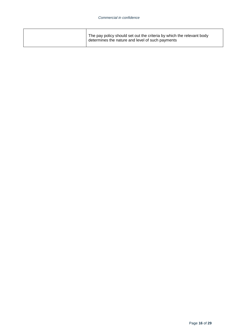| The pay policy should set out the criteria by which the relevant body<br>determines the nature and level of such payments |  |
|---------------------------------------------------------------------------------------------------------------------------|--|
|---------------------------------------------------------------------------------------------------------------------------|--|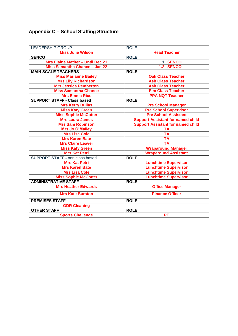# **Appendix C – School Staffing Structure**

| <b>ROLE</b>                              |  |  |
|------------------------------------------|--|--|
| <b>Head Teacher</b>                      |  |  |
| <b>ROLE</b>                              |  |  |
| 1.1 SENCO                                |  |  |
| 1.2 SENCO                                |  |  |
| <b>ROLE</b>                              |  |  |
| <b>Oak Class Teacher</b>                 |  |  |
| <b>Ash Class Teacher</b>                 |  |  |
| <b>Ash Class Teacher</b>                 |  |  |
| <b>Elm Class Teacher</b>                 |  |  |
| <b>PPA NQT Teacher</b>                   |  |  |
| <b>ROLE</b>                              |  |  |
| <b>Pre School Manager</b>                |  |  |
| <b>Pre School Supervisor</b>             |  |  |
| <b>Pre School Assistant</b>              |  |  |
| <b>Support Assistant for named child</b> |  |  |
| <b>Support Assistant for named child</b> |  |  |
| <b>TA</b>                                |  |  |
| <b>TA</b>                                |  |  |
| <b>TA</b>                                |  |  |
| <b>TA</b>                                |  |  |
| <b>Wraparound Manager</b>                |  |  |
| <b>Wraparound Assistant</b>              |  |  |
| <b>ROLE</b>                              |  |  |
| <b>Lunchtime Supervisor</b>              |  |  |
| <b>Lunchtime Supervisor</b>              |  |  |
| <b>Lunchtime Supervisor</b>              |  |  |
| <b>Lunchtime Supervisor</b>              |  |  |
| <b>ROLE</b>                              |  |  |
| <b>Office Manager</b>                    |  |  |
| <b>Finance Officer</b>                   |  |  |
| <b>ROLE</b>                              |  |  |
|                                          |  |  |
| <b>ROLE</b>                              |  |  |
| <b>PE</b>                                |  |  |
|                                          |  |  |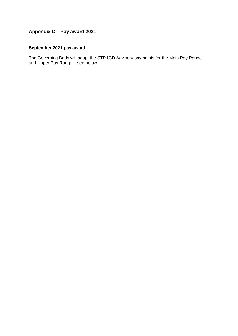# **Appendix D - Pay award 2021**

# **September 2021 pay award**

The Governing Body will adopt the STP&CD Advisory pay points for the Main Pay Range and Upper Pay Range – see below.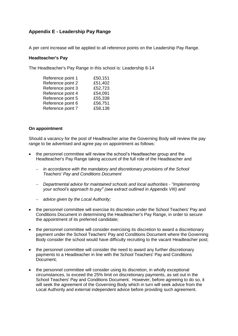# **Appendix E - Leadership Pay Range**

A per cent increase will be applied to all reference points on the Leadership Pay Range.

#### **Headteacher's Pay**

The Headteacher's Pay Range in this school is: Leadership 8-14

| Reference point 1<br>£50,151 |         |
|------------------------------|---------|
| Reference point 2            | £51,402 |
| Reference point 3            | £52,723 |
| Reference point 4            | £54,091 |
| Reference point 5            | £55,338 |
| Reference point 6            | £56,751 |
| Reference point 7            | £58,138 |

#### **On appointment**

Should a vacancy for the post of Headteacher arise the Governing Body will review the pay range to be advertised and agree pay on appointment as follows:

- the personnel committee will review the school's Headteacher group and the Headteacher's Pay Range taking account of the full role of the Headteacher and
	- *in accordance with the mandatory and discretionary provisions of the School Teachers' Pay and Conditions Document*
	- *Departmental advice for maintained schools and local authorities - "Implementing your school's approach to pay" (see extract outlined in Appendix VIII) and*
	- *advice given by the Local Authority;*
- the personnel committee will exercise its discretion under the School Teachers' Pay and Conditions Document in determining the Headteacher's Pay Range, in order to secure the appointment of its preferred candidate;
- the personnel committee will consider exercising its discretion to award a discretionary payment under the School Teachers' Pay and Conditions Document where the Governing Body consider the school would have difficulty recruiting to the vacant Headteacher post;
- the personnel committee will consider the need to award any further discretionary payments to a Headteacher in line with the School Teachers' Pay and Conditions Document;
- the personnel committee will consider using its discretion, in wholly exceptional circumstances, to exceed the 25% limit on discretionary payments, as set out in the School Teachers' Pay and Conditions Document. However, before agreeing to do so, it will seek the agreement of the Governing Body which in turn will seek advice from the Local Authority and external independent advice before providing such agreement.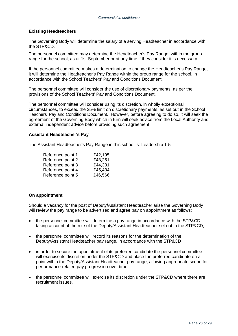#### **Existing Headteachers**

The Governing Body will determine the salary of a serving Headteacher in accordance with the STP&CD.

The personnel committee may determine the Headteacher's Pay Range, within the group range for the school, as at 1st September or at any time if they consider it is necessary.

If the personnel committee makes a determination to change the Headteacher's Pay Range, it will determine the Headteacher's Pay Range within the group range for the school, in accordance with the School Teachers' Pay and Conditions Document.

The personnel committee will consider the use of discretionary payments, as per the provisions of the School Teachers' Pay and Conditions Document.

The personnel committee will consider using its discretion, in wholly exceptional circumstances, to exceed the 25% limit on discretionary payments, as set out in the School Teachers' Pay and Conditions Document. However, before agreeing to do so, it will seek the agreement of the Governing Body which in turn will seek advice from the Local Authority and external independent advice before providing such agreement.

#### **Assistant Headteacher's Pay**

The Assistant Headteacher's Pay Range in this school is: Leadership 1-5

| £42,195 |
|---------|
| £43,251 |
| £44,331 |
| £45,434 |
| £46,566 |
|         |

#### **On appointment**

Should a vacancy for the post of Deputy**/**Assistant Headteacher arise the Governing Body will review the pay range to be advertised and agree pay on appointment as follows:

- the personnel committee will determine a pay range in accordance with the STP&CD taking account of the role of the Deputy/Assistant Headteacher set out in the STP&CD;
- the personnel committee will record its reasons for the determination of the Deputy/Assistant Headteacher pay range, in accordance with the STP&CD
- in order to secure the appointment of its preferred candidate the personnel committee will exercise its discretion under the STP&CD and place the preferred candidate on a point within the Deputy/Assistant Headteacher pay range, allowing appropriate scope for performance-related pay progression over time;
- the personnel committee will exercise its discretion under the STP&CD where there are recruitment issues.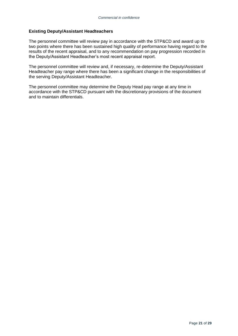#### **Existing Deputy/Assistant Headteachers**

The personnel committee will review pay in accordance with the STP&CD and award up to two points where there has been sustained high quality of performance having regard to the results of the recent appraisal, and to any recommendation on pay progression recorded in the Deputy/Assistant Headteacher's most recent appraisal report.

The personnel committee will review and, if necessary, re-determine the Deputy/Assistant Headteacher pay range where there has been a significant change in the responsibilities of the serving Deputy/Assistant Headteacher.

The personnel committee may determine the Deputy Head pay range at any time in accordance with the STP&CD pursuant with the discretionary provisions of the document and to maintain differentials.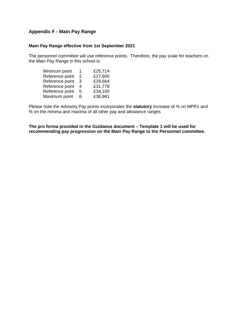## **Appendix F - Main Pay Range**

#### **Main Pay Range effective from 1st September 2021**

The personnel committee will use reference points. Therefore, the pay scale for teachers on the Main Pay Range in this school is:

| Minimum point   | 1. | £25,714 |
|-----------------|----|---------|
| Reference point | 2  | £27,600 |
| Reference point | З  | £29,664 |
| Reference point | 4  | £31,778 |
| Reference point | 5  | £34,100 |
| Maximum point   | 6  | £36,961 |

Please note the Advisory Pay points incorporates the **statutory** increase of % on MPR1 and % on the minima and maxima of all other pay and allowance ranges

**The pro forma provided in the Guidance document – Template 1 will be used for recommending pay progression on the Main Pay Range to the Personnel committee.**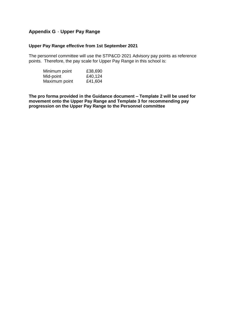# **Appendix G** - **Upper Pay Range**

#### **Upper Pay Range effective from 1st September 2021**

The personnel committee will use the STP&CD 2021 Advisory pay points as reference points. Therefore, the pay scale for Upper Pay Range in this school is:

| Minimum point | £38,690 |
|---------------|---------|
| Mid-point     | £40,124 |
| Maximum point | £41,604 |

**The pro forma provided in the Guidance document – Template 2 will be used for movement onto the Upper Pay Range and Template 3 for recommending pay progression on the Upper Pay Range to the Personnel committee**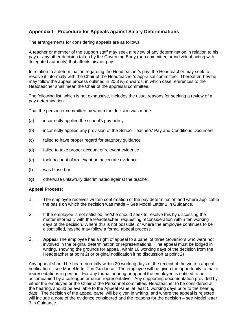# **Appendix I - Procedure for Appeals against Salary Determinations**

The arrangements for considering appeals are as follows:

A teacher or member of the support staff may seek a review of any determination in relation to his pay or any other decision taken by the Governing Body (or a committee or individual acting with delegated authority) that affects his/her pay.

In relation to a determination regarding the Headteacher's pay, the Headteacher may seek to resolve it informally with the Chair of the Headteacher's appraisal committee. Thereafter, he/she may follow the appeal process outlined in 20.3 iv) onwards; in which case references to the Headteacher shall mean the Chair of the appraisal committee.

The following list, which is not exhaustive, includes the usual reasons for seeking a review of a pay determination.

That the person or committee by whom the decision was made:

- (a) incorrectly applied the school's pay policy
- (b) incorrectly applied any provision of the School Teachers' Pay and Conditions Document
- (c) failed to have proper regard for statutory guidance
- (d) failed to take proper account of relevant evidence
- (e) took account of irrelevant or inaccurate evidence
- (f) was biased or
- (g) otherwise unlawfully discriminated against the teacher.

#### **Appeal Process**:

- 1. The employee receives written confirmation of the pay determination and where applicable the basis on which the decision was made – See Model Letter 1 in Guidance.
- 2. If the employee is not satisfied, he/she should seek to resolve this by discussing the matter informally with the Headteacher, requesting reconsideration within ten working days of the decision. Where this is not possible, or where the employee continues to be dissatisfied, he/she may follow a formal appeal process.
- 3. **Appeal** The employee has a right of appeal to a panel of three Governors who were not involved in the original determination or representations. The appeal must be lodged in writing, showing the grounds for appeal, within 10 working days of the decision from the Headteacher at point 2) or original notification if no discussion at point 2)

Any appeal should be heard normally within 20 working days of the receipt of the written appeal notification – see Model letter 2 in Guidance. The employee will be given the opportunity to make representations in person. For any formal hearing or appeal the employee is entitled to be accompanied by a colleague or union representative. Any supporting documentation provided by either the employee or the Chair of the Personnel committee/ Headteacher to be considered at the hearing, should be available to the Appeal Panel at least 5 working days prior to the hearing date. The decision of the appeal panel will be given in writing, and where the appeal is rejected will include a note of the evidence considered and the reasons for the decision – see Model letter 3 in Guidance.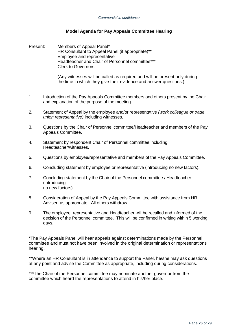#### **Model Agenda for Pay Appeals Committee Hearing**

Present: Members of Appeal Panel\* HR Consultant to Appeal Panel (if appropriate)\*\* Employee and representative Headteacher and Chair of Personnel committee\*\*\* Clerk to Governors

> (Any witnesses will be called as required and will be present only during the time in which they give their evidence and answer questions.)

- 1. Introduction of the Pay Appeals Committee members and others present by the Chair and explanation of the purpose of the meeting.
- 2. Statement of Appeal by the employee and/or representative *(work colleague or trade union representative)* including witnesses.
- 3. Questions by the Chair of Personnel committee/Headteacher and members of the Pay Appeals Committee.
- 4. Statement by respondent Chair of Personnel committee including Headteacher/witnesses.
- 5. Questions by employee/representative and members of the Pay Appeals Committee.
- 6. Concluding statement by employee or representative (introducing no new factors).
- 7. Concluding statement by the Chair of the Personnel committee / Headteacher (introducing no new factors).
- 8. Consideration of Appeal by the Pay Appeals Committee with assistance from HR Adviser, as appropriate. All others withdraw.
- 9. The employee, representative and Headteacher will be recalled and informed of the decision of the Personnel committee. This will be confirmed in writing within 5 working days.

\*The Pay Appeals Panel will hear appeals against determinations made by the Personnel committee and must not have been involved in the original determination or representations hearing.

\*\*Where an HR Consultant is in attendance to support the Panel, he/she may ask questions at any point and advise the Committee as appropriate, including during considerations.

\*\*\*The Chair of the Personnel committee may nominate another governor from the committee which heard the representations to attend in his/her place.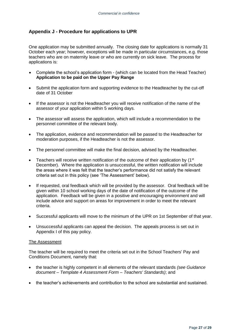### **Appendix J - Procedure for applications to UPR**

One application may be submitted annually. The closing date for applications is normally 31 October each year; however, exceptions will be made in particular circumstances, e.g. those teachers who are on maternity leave or who are currently on sick leave. The process for applications is:

- Complete the school's application form (which can be located from the Head Teacher) **Application to be paid on the Upper Pay Range**
- Submit the application form and supporting evidence to the Headteacher by the cut-off date of 31 October
- If the assessor is not the Headteacher you will receive notification of the name of the assessor of your application within 5 working days.
- The assessor will assess the application, which will include a recommendation to the personnel committee of the relevant body.
- The application, evidence and recommendation will be passed to the Headteacher for moderation purposes, if the Headteacher is not the assessor.
- The personnel committee will make the final decision, advised by the Headteacher.
- Teachers will receive written notification of the outcome of their application by  $(1<sup>st</sup>)$ December). Where the application is unsuccessful, the written notification will include the areas where it was felt that the teacher's performance did not satisfy the relevant criteria set out in this policy (see 'The Assessment' below).
- If requested, oral feedback which will be provided by the assessor. Oral feedback will be given within 10 school working days of the date of notification of the outcome of the application. Feedback will be given in a positive and encouraging environment and will include advice and support on areas for improvement in order to meet the relevant criteria.
- Successful applicants will move to the minimum of the UPR on 1st September of that year.
- Unsuccessful applicants can appeal the decision. The appeals process is set out in Appendix I of this pay policy.

#### The Assessment

The teacher will be required to meet the criteria set out in the School Teachers' Pay and Conditions Document, namely that:

- the teacher is highly competent in all elements of the relevant standards *(see Guidance document – Template 4 Assessment Form – Teachers' Standards)*; and
- the teacher's achievements and contribution to the school are substantial and sustained.